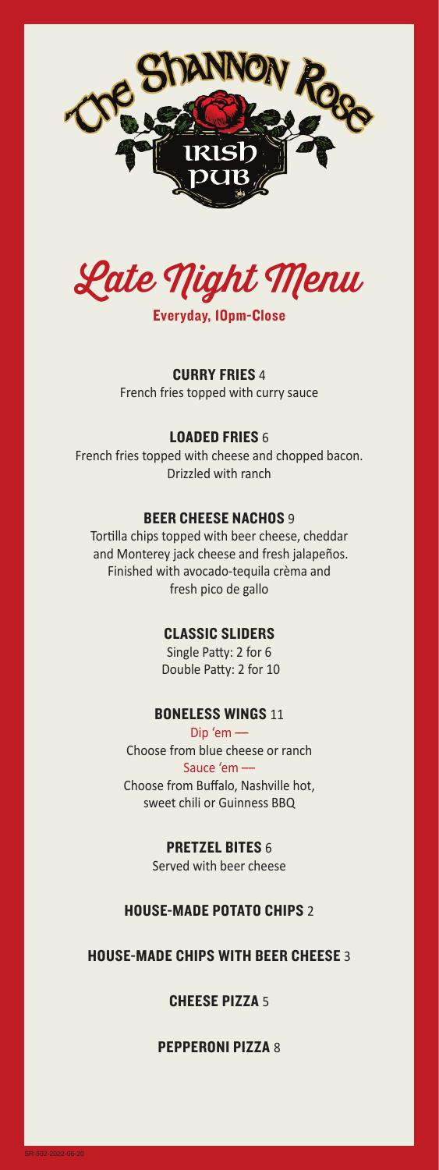



CURRY FRIES 4 French fries topped with curry sauce

## LOADED FRIES 6

French fries topped with cheese and chopped bacon. Drizzled with ranch

### BEER CHEESE NACHOS 9

Tortilla chips topped with beer cheese, cheddar and Monterey jack cheese and fresh jalapeños. Finished with avocado-tequila crèma and fresh pico de gallo

### CLASSIC SLIDERS

Single Patty: 2 for 6 Double Patty: 2 for 10

# **BONELESS WINGS 11**

Dip 'em –– Choose from blue cheese or ranch Sauce 'em ––

Choose from Buffalo, Nashville hot, sweet chili or Guinness BBQ

# PRETZEL BITES 6

Served with beer cheese

# HOUSE-MADE POTATO CHIPS 2

### HOUSE-MADE CHIPS WITH BEER CHEESE 3

CHEESE PIZZA 5

PEPPERONI PIZZA 8